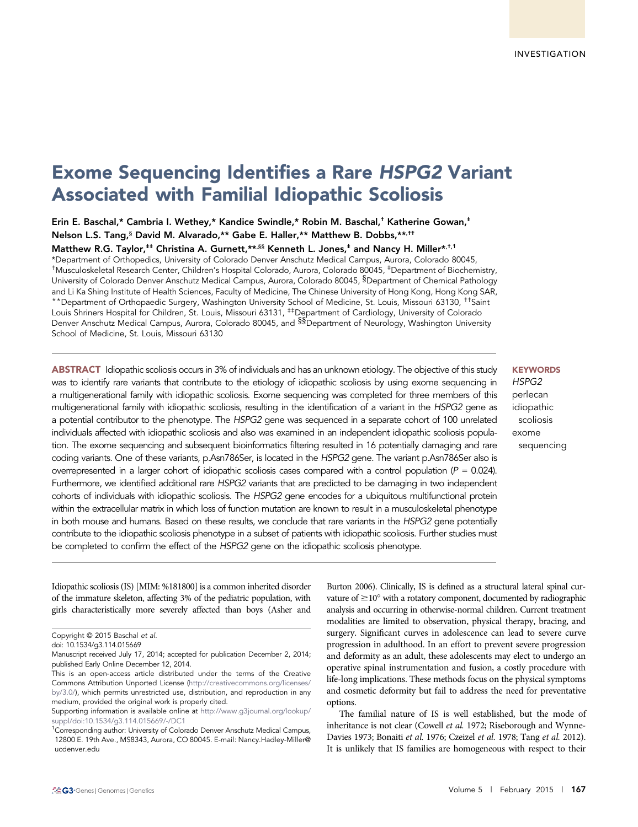# Exome Sequencing Identifies a Rare HSPG2 Variant Associated with Familial Idiopathic Scoliosis

Erin E. Baschal,\* Cambria I. Wethey,\* Kandice Swindle,\* Robin M. Baschal,† Katherine Gowan,‡ Nelson L.S. Tang,§ David M. Alvarado,\*\* Gabe E. Haller,\*\* Matthew B. Dobbs,\*\*,††

Matthew R.G. Taylor,<sup>#‡</sup> Christina A. Gurnett, \*\*.<sup>§§</sup> Kenneth L. Jones,<sup>‡</sup> and Nancy H. Miller\*.<sup>†</sup>.<sup>1</sup>

\*Department of Orthopedics, University of Colorado Denver Anschutz Medical Campus, Aurora, Colorado 80045, †Musculoskeletal Research Center, Children's Hospital Colorado, Aurora, Colorado 80045, ‡Department of Biochemistry, University of Colorado Denver Anschutz Medical Campus, Aurora, Colorado 80045, §Department of Chemical Pathology and Li Ka Shing Institute of Health Sciences, Faculty of Medicine, The Chinese University of Hong Kong, Hong Kong SAR, \*\*Department of Orthopaedic Surgery, Washington University School of Medicine, St. Louis, Missouri 63130, ††Saint

Louis Shriners Hospital for Children, St. Louis, Missouri 63131, #Department of Cardiology, University of Colorado Denver Anschutz Medical Campus, Aurora, Colorado 80045, and <sup>§§</sup>Department of Neurology, Washington University School of Medicine, St. Louis, Missouri 63130

ABSTRACT Idiopathic scoliosis occurs in 3% of individuals and has an unknown etiology. The objective of this study was to identify rare variants that contribute to the etiology of idiopathic scoliosis by using exome sequencing in a multigenerational family with idiopathic scoliosis. Exome sequencing was completed for three members of this multigenerational family with idiopathic scoliosis, resulting in the identification of a variant in the HSPG2 gene as a potential contributor to the phenotype. The HSPG2 gene was sequenced in a separate cohort of 100 unrelated individuals affected with idiopathic scoliosis and also was examined in an independent idiopathic scoliosis population. The exome sequencing and subsequent bioinformatics filtering resulted in 16 potentially damaging and rare coding variants. One of these variants, p.Asn786Ser, is located in the HSPG2 gene. The variant p.Asn786Ser also is overrepresented in a larger cohort of idiopathic scoliosis cases compared with a control population ( $P = 0.024$ ). Furthermore, we identified additional rare HSPG2 variants that are predicted to be damaging in two independent cohorts of individuals with idiopathic scoliosis. The HSPG2 gene encodes for a ubiquitous multifunctional protein within the extracellular matrix in which loss of function mutation are known to result in a musculoskeletal phenotype in both mouse and humans. Based on these results, we conclude that rare variants in the HSPG2 gene potentially contribute to the idiopathic scoliosis phenotype in a subset of patients with idiopathic scoliosis. Further studies must be completed to confirm the effect of the HSPG2 gene on the idiopathic scoliosis phenotype.

**KEYWORDS** HSPG2 perlecan idiopathic scoliosis exome sequencing

Idiopathic scoliosis (IS) [MIM: %181800] is a common inherited disorder of the immature skeleton, affecting 3% of the pediatric population, with girls characteristically more severely affected than boys (Asher and

Burton 2006). Clinically, IS is defined as a structural lateral spinal curvature of  $\geq$ 10 $\degree$  with a rotatory component, documented by radiographic analysis and occurring in otherwise-normal children. Current treatment modalities are limited to observation, physical therapy, bracing, and surgery. Significant curves in adolescence can lead to severe curve progression in adulthood. In an effort to prevent severe progression and deformity as an adult, these adolescents may elect to undergo an operative spinal instrumentation and fusion, a costly procedure with life-long implications. These methods focus on the physical symptoms and cosmetic deformity but fail to address the need for preventative options.

The familial nature of IS is well established, but the mode of inheritance is not clear (Cowell et al. 1972; Riseborough and Wynne-Davies 1973; Bonaiti et al. 1976; Czeizel et al. 1978; Tang et al. 2012). It is unlikely that IS families are homogeneous with respect to their

Copyright © 2015 Baschal et al.

doi: 10.1534/g3.114.015669

Manuscript received July 17, 2014; accepted for publication December 2, 2014; published Early Online December 12, 2014.

This is an open-access article distributed under the terms of the Creative Commons Attribution Unported License ([http://creativecommons.org/licenses/](http://creativecommons.org/licenses/by/3.0/) [by/3.0/](http://creativecommons.org/licenses/by/3.0/)), which permits unrestricted use, distribution, and reproduction in any medium, provided the original work is properly cited.

Supporting information is available online at [http://www.g3journal.org/lookup/](http://www.g3journal.org/lookup/suppl/doi:10.1534/g3.114.015669/-/DC1) [suppl/doi:10.1534/g3.114.015669/-/DC1](http://www.g3journal.org/lookup/suppl/doi:10.1534/g3.114.015669/-/DC1)

<sup>&</sup>lt;sup>1</sup>Corresponding author: University of Colorado Denver Anschutz Medical Campus, 12800 E. 19th Ave., MS8343, Aurora, CO 80045. E-mail: [Nancy.Hadley-Miller@](mailto:Nancy.Hadley-Miller@ucdenver.edu) [ucdenver.edu](mailto:Nancy.Hadley-Miller@ucdenver.edu)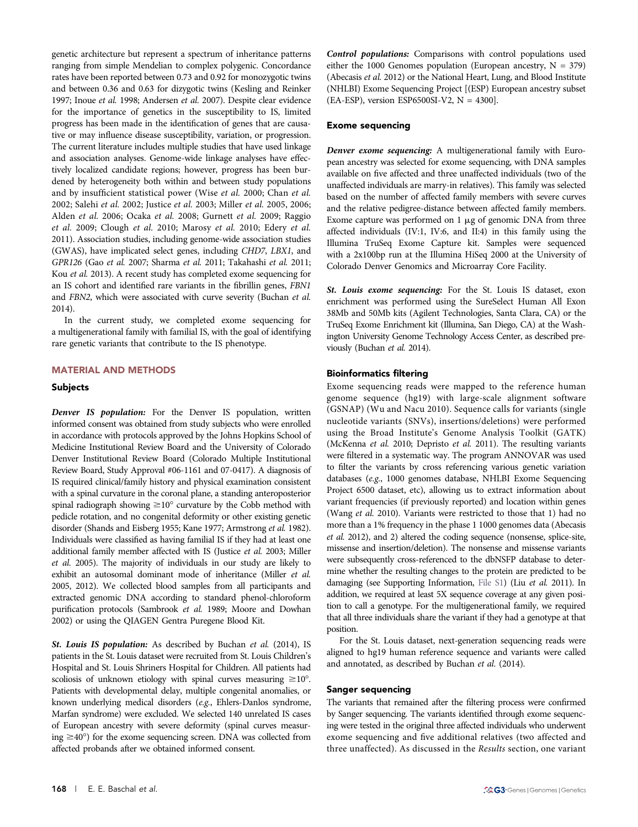genetic architecture but represent a spectrum of inheritance patterns ranging from simple Mendelian to complex polygenic. Concordance rates have been reported between 0.73 and 0.92 for monozygotic twins and between 0.36 and 0.63 for dizygotic twins (Kesling and Reinker 1997; Inoue et al. 1998; Andersen et al. 2007). Despite clear evidence for the importance of genetics in the susceptibility to IS, limited progress has been made in the identification of genes that are causative or may influence disease susceptibility, variation, or progression. The current literature includes multiple studies that have used linkage and association analyses. Genome-wide linkage analyses have effectively localized candidate regions; however, progress has been burdened by heterogeneity both within and between study populations and by insufficient statistical power (Wise et al. 2000; Chan et al. 2002; Salehi et al. 2002; Justice et al. 2003; Miller et al. 2005, 2006; Alden et al. 2006; Ocaka et al. 2008; Gurnett et al. 2009; Raggio et al. 2009; Clough et al. 2010; Marosy et al. 2010; Edery et al. 2011). Association studies, including genome-wide association studies (GWAS), have implicated select genes, including CHD7, LBX1, and GPR126 (Gao et al. 2007; Sharma et al. 2011; Takahashi et al. 2011; Kou et al. 2013). A recent study has completed exome sequencing for an IS cohort and identified rare variants in the fibrillin genes, FBN1 and FBN2, which were associated with curve severity (Buchan et al. 2014).

In the current study, we completed exome sequencing for a multigenerational family with familial IS, with the goal of identifying rare genetic variants that contribute to the IS phenotype.

## MATERIAL AND METHODS

#### Subjects

Denver IS population: For the Denver IS population, written informed consent was obtained from study subjects who were enrolled in accordance with protocols approved by the Johns Hopkins School of Medicine Institutional Review Board and the University of Colorado Denver Institutional Review Board (Colorado Multiple Institutional Review Board, Study Approval #06-1161 and 07-0417). A diagnosis of IS required clinical/family history and physical examination consistent with a spinal curvature in the coronal plane, a standing anteroposterior spinal radiograph showing  $\geq 10^{\circ}$  curvature by the Cobb method with pedicle rotation, and no congenital deformity or other existing genetic disorder (Shands and Eisberg 1955; Kane 1977; Armstrong et al. 1982). Individuals were classified as having familial IS if they had at least one additional family member affected with IS (Justice et al. 2003; Miller et al. 2005). The majority of individuals in our study are likely to exhibit an autosomal dominant mode of inheritance (Miller et al. 2005, 2012). We collected blood samples from all participants and extracted genomic DNA according to standard phenol-chloroform purification protocols (Sambrook et al. 1989; Moore and Dowhan 2002) or using the QIAGEN Gentra Puregene Blood Kit.

St. Louis IS population: As described by Buchan et al. (2014), IS patients in the St. Louis dataset were recruited from St. Louis Children's Hospital and St. Louis Shriners Hospital for Children. All patients had scoliosis of unknown etiology with spinal curves measuring  $\geq 10^{\circ}$ . Patients with developmental delay, multiple congenital anomalies, or known underlying medical disorders (e.g., Ehlers-Danlos syndrome, Marfan syndrome) were excluded. We selected 140 unrelated IS cases of European ancestry with severe deformity (spinal curves measuring  $\geq$ 40°) for the exome sequencing screen. DNA was collected from affected probands after we obtained informed consent.

Control populations: Comparisons with control populations used either the 1000 Genomes population (European ancestry,  $N = 379$ ) (Abecasis et al. 2012) or the National Heart, Lung, and Blood Institute (NHLBI) Exome Sequencing Project [(ESP) European ancestry subset  $(EA-ESP)$ , version ESP6500SI-V2,  $N = 4300$ ].

#### Exome sequencing

Denver exome sequencing: A multigenerational family with European ancestry was selected for exome sequencing, with DNA samples available on five affected and three unaffected individuals (two of the unaffected individuals are marry-in relatives). This family was selected based on the number of affected family members with severe curves and the relative pedigree-distance between affected family members. Exome capture was performed on  $1 \mu$ g of genomic DNA from three affected individuals (IV:1, IV:6, and II:4) in this family using the Illumina TruSeq Exome Capture kit. Samples were sequenced with a 2x100bp run at the Illumina HiSeq 2000 at the University of Colorado Denver Genomics and Microarray Core Facility.

St. Louis exome sequencing: For the St. Louis IS dataset, exon enrichment was performed using the SureSelect Human All Exon 38Mb and 50Mb kits (Agilent Technologies, Santa Clara, CA) or the TruSeq Exome Enrichment kit (Illumina, San Diego, CA) at the Washington University Genome Technology Access Center, as described previously (Buchan et al. 2014).

#### Bioinformatics filtering

Exome sequencing reads were mapped to the reference human genome sequence (hg19) with large-scale alignment software (GSNAP) (Wu and Nacu 2010). Sequence calls for variants (single nucleotide variants (SNVs), insertions/deletions) were performed using the Broad Institute's Genome Analysis Toolkit (GATK) (McKenna et al. 2010; Depristo et al. 2011). The resulting variants were filtered in a systematic way. The program ANNOVAR was used to filter the variants by cross referencing various genetic variation databases (e.g., 1000 genomes database, NHLBI Exome Sequencing Project 6500 dataset, etc), allowing us to extract information about variant frequencies (if previously reported) and location within genes (Wang et al. 2010). Variants were restricted to those that 1) had no more than a 1% frequency in the phase 1 1000 genomes data (Abecasis et al. 2012), and 2) altered the coding sequence (nonsense, splice-site, missense and insertion/deletion). The nonsense and missense variants were subsequently cross-referenced to the dbNSFP database to determine whether the resulting changes to the protein are predicted to be damaging (see Supporting Information, [File S1](http://www.g3journal.org/content/suppl/2014/12/12/g3.114.015669.DC1/015669SI.pdf)) (Liu et al. 2011). In addition, we required at least 5X sequence coverage at any given position to call a genotype. For the multigenerational family, we required that all three individuals share the variant if they had a genotype at that position.

For the St. Louis dataset, next-generation sequencing reads were aligned to hg19 human reference sequence and variants were called and annotated, as described by Buchan et al. (2014).

# Sanger sequencing

The variants that remained after the filtering process were confirmed by Sanger sequencing. The variants identified through exome sequencing were tested in the original three affected individuals who underwent exome sequencing and five additional relatives (two affected and three unaffected). As discussed in the Results section, one variant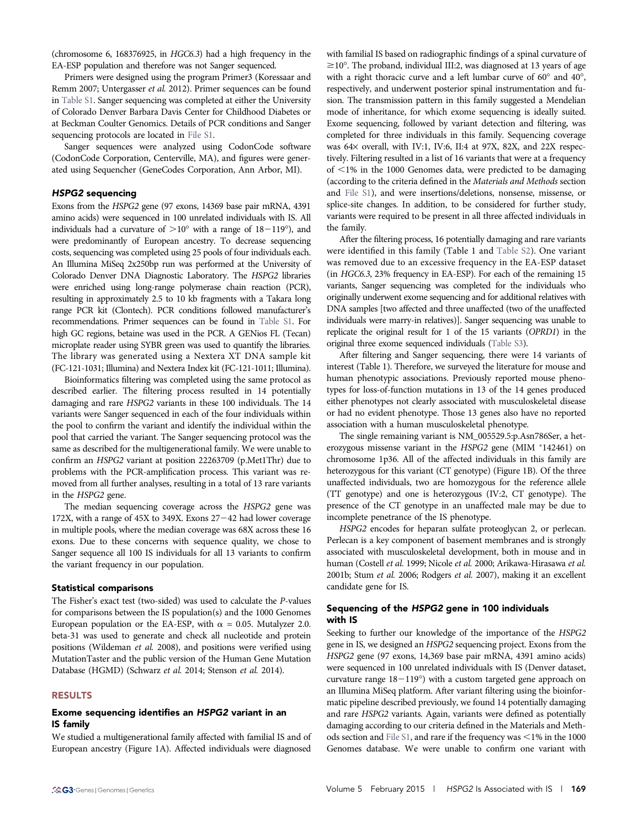(chromosome 6, 168376925, in HGC6.3) had a high frequency in the EA-ESP population and therefore was not Sanger sequenced.

Primers were designed using the program Primer3 (Koressaar and Remm 2007; Untergasser et al. 2012). Primer sequences can be found in [Table S1](http://www.g3journal.org/content/suppl/2014/12/12/g3.114.015669.DC1/TableS1.xlsx). Sanger sequencing was completed at either the University of Colorado Denver Barbara Davis Center for Childhood Diabetes or at Beckman Coulter Genomics. Details of PCR conditions and Sanger sequencing protocols are located in [File S1](http://www.g3journal.org/content/suppl/2014/12/12/g3.114.015669.DC1/015669SI.pdf).

Sanger sequences were analyzed using CodonCode software (CodonCode Corporation, Centerville, MA), and figures were generated using Sequencher (GeneCodes Corporation, Ann Arbor, MI).

## HSPG2 sequencing

Exons from the HSPG2 gene (97 exons, 14369 base pair mRNA, 4391 amino acids) were sequenced in 100 unrelated individuals with IS. All individuals had a curvature of  $>10^{\circ}$  with a range of  $18-119^{\circ}$ ), and were predominantly of European ancestry. To decrease sequencing costs, sequencing was completed using 25 pools of four individuals each. An Illumina MiSeq 2x250bp run was performed at the University of Colorado Denver DNA Diagnostic Laboratory. The HSPG2 libraries were enriched using long-range polymerase chain reaction (PCR), resulting in approximately 2.5 to 10 kb fragments with a Takara long range PCR kit (Clontech). PCR conditions followed manufacturer's recommendations. Primer sequences can be found in [Table S1](http://www.g3journal.org/content/suppl/2014/12/12/g3.114.015669.DC1/TableS1.xlsx). For high GC regions, betaine was used in the PCR. A GENios FL (Tecan) microplate reader using SYBR green was used to quantify the libraries. The library was generated using a Nextera XT DNA sample kit (FC-121-1031; Illumina) and Nextera Index kit (FC-121-1011; Illumina).

Bioinformatics filtering was completed using the same protocol as described earlier. The filtering process resulted in 14 potentially damaging and rare HSPG2 variants in these 100 individuals. The 14 variants were Sanger sequenced in each of the four individuals within the pool to confirm the variant and identify the individual within the pool that carried the variant. The Sanger sequencing protocol was the same as described for the multigenerational family. We were unable to confirm an HSPG2 variant at position 22263709 (p.Met1Thr) due to problems with the PCR-amplification process. This variant was removed from all further analyses, resulting in a total of 13 rare variants in the HSPG2 gene.

The median sequencing coverage across the HSPG2 gene was 172X, with a range of  $45X$  to  $349X$ . Exons  $27-42$  had lower coverage in multiple pools, where the median coverage was 68X across these 16 exons. Due to these concerns with sequence quality, we chose to Sanger sequence all 100 IS individuals for all 13 variants to confirm the variant frequency in our population.

#### Statistical comparisons

The Fisher's exact test (two-sided) was used to calculate the P-values for comparisons between the IS population(s) and the 1000 Genomes European population or the EA-ESP, with  $\alpha = 0.05$ . Mutalyzer 2.0. beta-31 was used to generate and check all nucleotide and protein positions (Wildeman et al. 2008), and positions were verified using MutationTaster and the public version of the Human Gene Mutation Database (HGMD) (Schwarz et al. 2014; Stenson et al. 2014).

### RESULTS

# Exome sequencing identifies an HSPG2 variant in an IS family

We studied a multigenerational family affected with familial IS and of European ancestry (Figure 1A). Affected individuals were diagnosed

with familial IS based on radiographic findings of a spinal curvature of  $\geq$ 10°. The proband, individual III:2, was diagnosed at 13 years of age with a right thoracic curve and a left lumbar curve of  $60^{\circ}$  and  $40^{\circ}$ , respectively, and underwent posterior spinal instrumentation and fusion. The transmission pattern in this family suggested a Mendelian mode of inheritance, for which exome sequencing is ideally suited. Exome sequencing, followed by variant detection and filtering, was completed for three individuals in this family. Sequencing coverage was  $64\times$  overall, with IV:1, IV:6, II:4 at 97X, 82X, and 22X respectively. Filtering resulted in a list of 16 variants that were at a frequency of  $\leq$ 1% in the 1000 Genomes data, were predicted to be damaging (according to the criteria defined in the Materials and Methods section and [File S1](http://www.g3journal.org/content/suppl/2014/12/12/g3.114.015669.DC1/015669SI.pdf)), and were insertions/deletions, nonsense, missense, or splice-site changes. In addition, to be considered for further study, variants were required to be present in all three affected individuals in the family.

After the filtering process, 16 potentially damaging and rare variants were identified in this family (Table 1 and [Table S2\)](http://www.g3journal.org/content/suppl/2014/12/12/g3.114.015669.DC1/TableS2.xlsx). One variant was removed due to an excessive frequency in the EA-ESP dataset (in HGC6.3, 23% frequency in EA-ESP). For each of the remaining 15 variants, Sanger sequencing was completed for the individuals who originally underwent exome sequencing and for additional relatives with DNA samples [two affected and three unaffected (two of the unaffected individuals were marry-in relatives)]. Sanger sequencing was unable to replicate the original result for 1 of the 15 variants (OPRD1) in the original three exome sequenced individuals ([Table S3\)](http://www.g3journal.org/content/suppl/2014/12/12/g3.114.015669.DC1/TableS3.xlsx).

After filtering and Sanger sequencing, there were 14 variants of interest (Table 1). Therefore, we surveyed the literature for mouse and human phenotypic associations. Previously reported mouse phenotypes for loss-of-function mutations in 13 of the 14 genes produced either phenotypes not clearly associated with musculoskeletal disease or had no evident phenotype. Those 13 genes also have no reported association with a human musculoskeletal phenotype.

The single remaining variant is NM\_005529.5:p.Asn786Ser, a heterozygous missense variant in the HSPG2 gene (MIM \*142461) on chromosome 1p36. All of the affected individuals in this family are heterozygous for this variant (CT genotype) (Figure 1B). Of the three unaffected individuals, two are homozygous for the reference allele (TT genotype) and one is heterozygous (IV:2, CT genotype). The presence of the CT genotype in an unaffected male may be due to incomplete penetrance of the IS phenotype.

HSPG2 encodes for heparan sulfate proteoglycan 2, or perlecan. Perlecan is a key component of basement membranes and is strongly associated with musculoskeletal development, both in mouse and in human (Costell et al. 1999; Nicole et al. 2000; Arikawa-Hirasawa et al. 2001b; Stum et al. 2006; Rodgers et al. 2007), making it an excellent candidate gene for IS.

# Sequencing of the HSPG2 gene in 100 individuals with IS

Seeking to further our knowledge of the importance of the HSPG2 gene in IS, we designed an HSPG2 sequencing project. Exons from the HSPG2 gene (97 exons, 14,369 base pair mRNA, 4391 amino acids) were sequenced in 100 unrelated individuals with IS (Denver dataset, curvature range  $18-119^{\circ}$ ) with a custom targeted gene approach on an Illumina MiSeq platform. After variant filtering using the bioinformatic pipeline described previously, we found 14 potentially damaging and rare HSPG2 variants. Again, variants were defined as potentially damaging according to our criteria defined in the Materials and Meth-ods section and [File S1](http://www.g3journal.org/content/suppl/2014/12/12/g3.114.015669.DC1/015669SI.pdf), and rare if the frequency was  $\leq$ 1% in the 1000 Genomes database. We were unable to confirm one variant with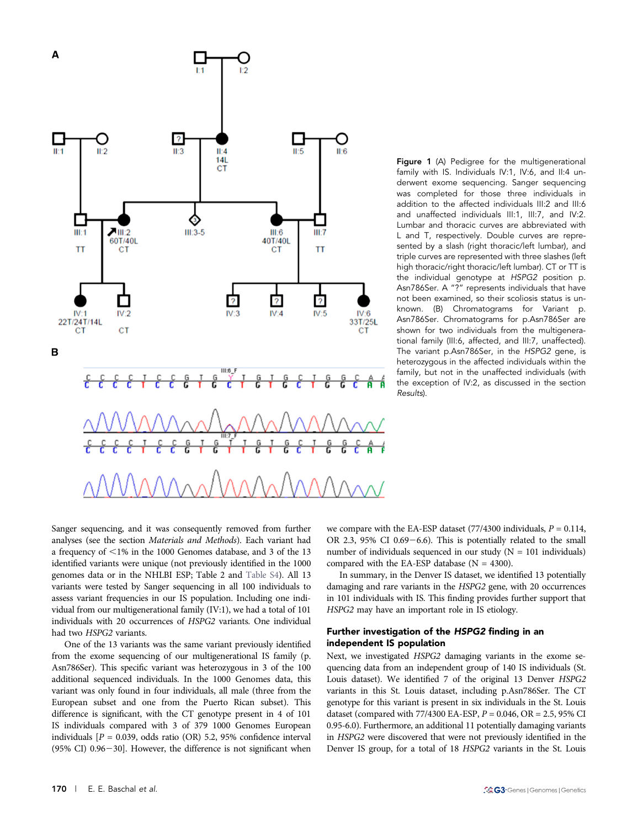

Figure 1 (A) Pedigree for the multigenerational family with IS. Individuals IV:1, IV:6, and II:4 underwent exome sequencing. Sanger sequencing was completed for those three individuals in addition to the affected individuals III:2 and III:6 and unaffected individuals III:1, III:7, and IV:2. Lumbar and thoracic curves are abbreviated with L and T, respectively. Double curves are represented by a slash (right thoracic/left lumbar), and triple curves are represented with three slashes (left high thoracic/right thoracic/left lumbar). CT or TT is the individual genotype at HSPG2 position p. Asn786Ser. A "?" represents individuals that have not been examined, so their scoliosis status is unknown. (B) Chromatograms for Variant p. Asn786Ser. Chromatograms for p.Asn786Ser are shown for two individuals from the multigenerational family (III:6, affected, and III:7, unaffected). The variant p.Asn786Ser, in the HSPG2 gene, is heterozygous in the affected individuals within the family, but not in the unaffected individuals (with the exception of IV:2, as discussed in the section Results).

Sanger sequencing, and it was consequently removed from further analyses (see the section Materials and Methods). Each variant had a frequency of  $\leq$ 1% in the 1000 Genomes database, and 3 of the 13 identified variants were unique (not previously identified in the 1000 genomes data or in the NHLBI ESP; Table 2 and [Table S4\)](http://www.g3journal.org/content/suppl/2014/12/12/g3.114.015669.DC1/TableS4.xlsx). All 13 variants were tested by Sanger sequencing in all 100 individuals to assess variant frequencies in our IS population. Including one individual from our multigenerational family (IV:1), we had a total of 101 individuals with 20 occurrences of HSPG2 variants. One individual had two HSPG2 variants.

One of the 13 variants was the same variant previously identified from the exome sequencing of our multigenerational IS family (p. Asn786Ser). This specific variant was heterozygous in 3 of the 100 additional sequenced individuals. In the 1000 Genomes data, this variant was only found in four individuals, all male (three from the European subset and one from the Puerto Rican subset). This difference is significant, with the CT genotype present in 4 of 101 IS individuals compared with 3 of 379 1000 Genomes European individuals  $[P = 0.039, \text{ odds ratio (OR)} 5.2, 95\% \text{ confidence interval}$  $(95\% \text{ CI})$  0.96-30]. However, the difference is not significant when

we compare with the EA-ESP dataset  $(77/4300 \text{ individuals}, P = 0.114,$ OR 2.3, 95% CI 0.69 $-6.6$ ). This is potentially related to the small number of individuals sequenced in our study  $(N = 101$  individuals) compared with the EA-ESP database ( $N = 4300$ ).

In summary, in the Denver IS dataset, we identified 13 potentially damaging and rare variants in the HSPG2 gene, with 20 occurrences in 101 individuals with IS. This finding provides further support that HSPG2 may have an important role in IS etiology.

## Further investigation of the HSPG2 finding in an independent IS population

Next, we investigated HSPG2 damaging variants in the exome sequencing data from an independent group of 140 IS individuals (St. Louis dataset). We identified 7 of the original 13 Denver HSPG2 variants in this St. Louis dataset, including p.Asn786Ser. The CT genotype for this variant is present in six individuals in the St. Louis dataset (compared with  $77/4300$  EA-ESP,  $P = 0.046$ ,  $OR = 2.5$ , 95% CI 0.95-6.0). Furthermore, an additional 11 potentially damaging variants in HSPG2 were discovered that were not previously identified in the Denver IS group, for a total of 18 HSPG2 variants in the St. Louis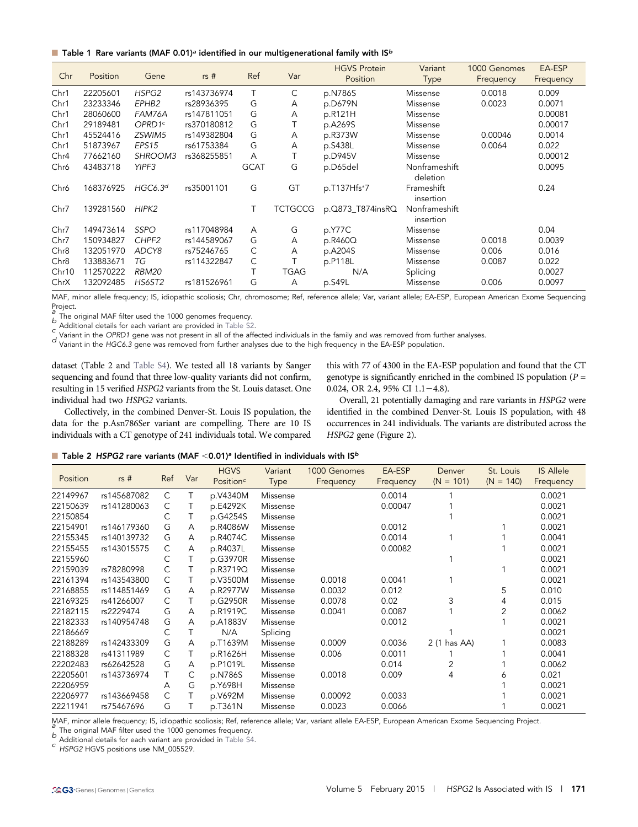**n** Table 1 Rare variants (MAF 0.01)<sup>a</sup> identified in our multigenerational family with IS<sup>b</sup>

| Chr              | Position  | Gene                | rs#         | Ref         | Var         | <b>HGVS Protein</b><br>Position | Variant<br><b>Type</b>     | 1000 Genomes<br>Frequency | EA-ESP<br>Frequency |
|------------------|-----------|---------------------|-------------|-------------|-------------|---------------------------------|----------------------------|---------------------------|---------------------|
| Chr1             | 22205601  | HSPG2               | rs143736974 | T           | С           | p.N786S                         | Missense                   | 0.0018                    | 0.009               |
| Chr1             | 23233346  | EPHB2               | rs28936395  | G           | A           | p.D679N                         | Missense                   | 0.0023                    | 0.0071              |
| Chr1             | 28060600  | FAM76A              | rs147811051 | G           | А           | p.R121H                         | Missense                   |                           | 0.00081             |
| Chr1             | 29189481  | OPRD1c              | rs370180812 | G           |             | p.A269S                         | Missense                   |                           | 0.00017             |
| Chr1             | 45524416  | ZSWIM5              | rs149382804 | G           | Α           | p.R373W                         | Missense                   | 0.00046                   | 0.0014              |
| Chr1             | 51873967  | EPS <sub>15</sub>   | rs61753384  | G           | Α           | p.S438L                         | Missense                   | 0.0064                    | 0.022               |
| Chr4             | 77662160  | SHROOM3             | rs368255851 | A           |             | p.D945V                         | Missense                   |                           | 0.00012             |
| Chr6             | 43483718  | YIPF3               |             | <b>GCAT</b> | G           | p.D65del                        | Nonframeshift<br>deletion  |                           | 0.0095              |
| Chr6             | 168376925 | HGC6.3 <sup>d</sup> | rs35001101  | G           | GT          | p.T137Hfs*7                     | Frameshift<br>insertion    |                           | 0.24                |
| Chr7             | 139281560 | HIPK <sub>2</sub>   |             | Τ           | TCTGCCG     | p.Q873_T874insRQ                | Nonframeshift<br>insertion |                           |                     |
| Chr7             | 149473614 | <b>SSPO</b>         | rs117048984 | A           | G           | p.Y77C                          | Missense                   |                           | 0.04                |
| Chr7             | 150934827 | CHPF <sub>2</sub>   | rs144589067 | G           | Α           | p.R460Q                         | Missense                   | 0.0018                    | 0.0039              |
| Chr <sub>8</sub> | 132051970 | ADCY8               | rs75246765  | С           | A           | p.A204S                         | Missense                   | 0.006                     | 0.016               |
| Chr <sub>8</sub> | 133883671 | ТG                  | rs114322847 | С           |             | p.P118L                         | Missense                   | 0.0087                    | 0.022               |
| Chr10            | 112570222 | RBM20               |             | Τ           | <b>TGAG</b> | N/A                             | Splicing                   |                           | 0.0027              |
| ChrX             | 132092485 | <b>HS6ST2</b>       | rs181526961 | G           | A           | p.S49L                          | Missense                   | 0.006                     | 0.0097              |

MAF, minor allele frequency; IS, idiopathic scoliosis; Chr, chromosome; Ref, reference allele; Var, variant allele; EA-ESP, European American Exome Sequencing Project.<br>a<br>The original MAF filter used the 1000 genomes frequency.

b<br>Additional details for each variant are provided in [Table S2](http://www.g3journal.org/content/suppl/2014/12/12/g3.114.015669.DC1/TableS2.xlsx).<br>C Variant in the OPRD1 gene was not present in all of the affected individuals in the family and was removed from further analyses.<br>C Variant in the OPRD1 ge

dataset (Table 2 and [Table S4](http://www.g3journal.org/content/suppl/2014/12/12/g3.114.015669.DC1/TableS4.xlsx)). We tested all 18 variants by Sanger sequencing and found that three low-quality variants did not confirm, resulting in 15 verified HSPG2 variants from the St. Louis dataset. One individual had two HSPG2 variants.

Collectively, in the combined Denver-St. Louis IS population, the data for the p.Asn786Ser variant are compelling. There are 10 IS individuals with a CT genotype of 241 individuals total. We compared

this with 77 of 4300 in the EA-ESP population and found that the CT genotype is significantly enriched in the combined IS population ( $P =$ 0.024, OR 2.4, 95% CI  $1.1 - 4.8$ ).

Overall, 21 potentially damaging and rare variants in HSPG2 were identified in the combined Denver-St. Louis IS population, with 48 occurrences in 241 individuals. The variants are distributed across the HSPG2 gene (Figure 2).

|  | <b>T</b> Table 2 HSPG2 rare variants (MAF < 0.01) <sup>a</sup> Identified in individuals with $15b$ |  |  |  |  |  |  |
|--|-----------------------------------------------------------------------------------------------------|--|--|--|--|--|--|
|--|-----------------------------------------------------------------------------------------------------|--|--|--|--|--|--|

| Position | rs#         | Ref          | Var | <b>HGVS</b><br>Position <sup>c</sup> | Variant<br><b>Type</b> | 1000 Genomes<br>Frequency | EA-ESP<br>Frequency | Denver<br>$(N = 101)$ | St. Louis<br>$(N = 140)$ | <b>IS Allele</b><br>Frequency |
|----------|-------------|--------------|-----|--------------------------------------|------------------------|---------------------------|---------------------|-----------------------|--------------------------|-------------------------------|
| 22149967 | rs145687082 | C            | Τ   | p.V4340M                             | Missense               |                           | 0.0014              |                       |                          | 0.0021                        |
| 22150639 | rs141280063 | C            | Τ   | p.E4292K                             | Missense               |                           | 0.00047             |                       |                          | 0.0021                        |
| 22150854 |             | C            |     | p.G4254S                             | Missense               |                           |                     |                       |                          | 0.0021                        |
| 22154901 | rs146179360 | G            | Α   | p.R4086W                             | Missense               |                           | 0.0012              |                       |                          | 0.0021                        |
| 22155345 | rs140139732 | G            | A   | p.R4074C                             | Missense               |                           | 0.0014              |                       |                          | 0.0041                        |
| 22155455 | rs143015575 | C            | A   | p.R4037L                             | Missense               |                           | 0.00082             |                       |                          | 0.0021                        |
| 22155960 |             | С            | Τ   | p.G3970R                             | Missense               |                           |                     |                       |                          | 0.0021                        |
| 22159039 | rs78280998  | C            | Τ   | p.R3719Q                             | Missense               |                           |                     |                       |                          | 0.0021                        |
| 22161394 | rs143543800 | C            |     | p.V3500M                             | Missense               | 0.0018                    | 0.0041              |                       |                          | 0.0021                        |
| 22168855 | rs114851469 | G            | Α   | p.R2977W                             | Missense               | 0.0032                    | 0.012               |                       | 5                        | 0.010                         |
| 22169325 | rs41266007  | C            |     | p.G2950R                             | Missense               | 0.0078                    | 0.02                | 3                     |                          | 0.015                         |
| 22182115 | rs2229474   | G            | A   | p.R1919C                             | Missense               | 0.0041                    | 0.0087              |                       |                          | 0.0062                        |
| 22182333 | rs140954748 | G            | Α   | p.A1883V                             | Missense               |                           | 0.0012              |                       |                          | 0.0021                        |
| 22186669 |             | С            |     | N/A                                  | Splicing               |                           |                     |                       |                          | 0.0021                        |
| 22188289 | rs142433309 | G            | Α   | p.T1639M                             | Missense               | 0.0009                    | 0.0036              | 2 (1 has AA)          |                          | 0.0083                        |
| 22188328 | rs41311989  | C            |     | p.R1626H                             | Missense               | 0.006                     | 0.0011              |                       |                          | 0.0041                        |
| 22202483 | rs62642528  | G            | A   | p.P1019L                             | Missense               |                           | 0.014               | 2                     |                          | 0.0062                        |
| 22205601 | rs143736974 | Τ            | C   | p.N786S                              | Missense               | 0.0018                    | 0.009               | 4                     | 6                        | 0.021                         |
| 22206959 |             | A            | G   | p.Y698H                              | Missense               |                           |                     |                       |                          | 0.0021                        |
| 22206977 | rs143669458 | $\mathsf{C}$ | Τ   | p.V692M                              | Missense               | 0.00092                   | 0.0033              |                       |                          | 0.0021                        |
| 22211941 | rs75467696  | G            | Τ   | p.T361N                              | Missense               | 0.0023                    | 0.0066              |                       |                          | 0.0021                        |

MAF, minor allele frequency; IS, idiopathic scoliosis; Ref, reference allele; Var, variant allele EA-ESP, European American Exome Sequencing Project.<br>
a The original MAF filter used the 1000 genomes frequency.<br>
b Addition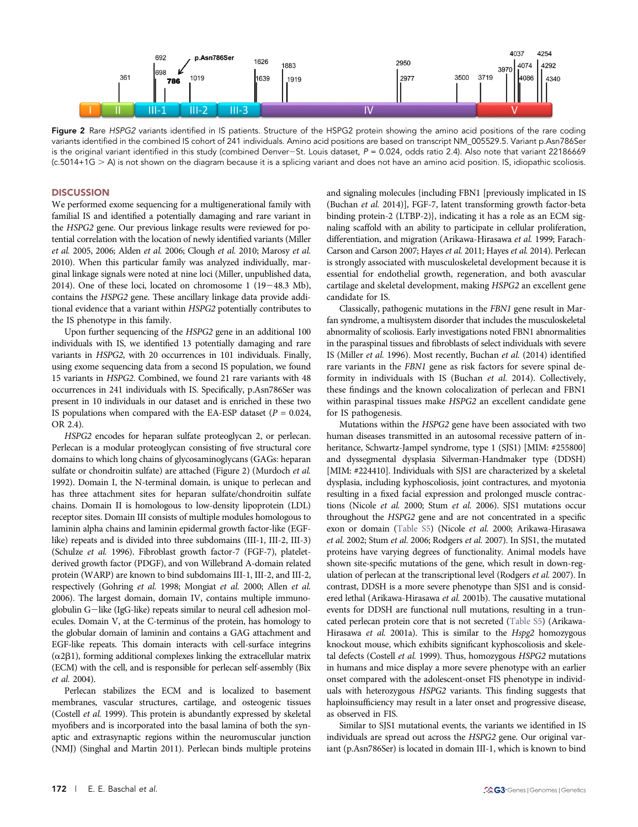

Figure 2 Rare HSPG2 variants identified in IS patients. Structure of the HSPG2 protein showing the amino acid positions of the rare coding variants identified in the combined IS cohort of 241 individuals. Amino acid positions are based on transcript NM\_005529.5. Variant p.Asn786Ser is the original variant identified in this study (combined Denver-St. Louis dataset,  $P = 0.024$ , odds ratio 2.4). Also note that variant 22186669 (c.5014+1G . A) is not shown on the diagram because it is a splicing variant and does not have an amino acid position. IS, idiopathic scoliosis.

## **DISCUSSION**

We performed exome sequencing for a multigenerational family with familial IS and identified a potentially damaging and rare variant in the HSPG2 gene. Our previous linkage results were reviewed for potential correlation with the location of newly identified variants (Miller et al. 2005, 2006; Alden et al. 2006; Clough et al. 2010; Marosy et al. 2010). When this particular family was analyzed individually, marginal linkage signals were noted at nine loci (Miller, unpublished data, 2014). One of these loci, located on chromosome  $1$  (19-48.3 Mb), contains the HSPG2 gene. These ancillary linkage data provide additional evidence that a variant within HSPG2 potentially contributes to the IS phenotype in this family.

Upon further sequencing of the HSPG2 gene in an additional 100 individuals with IS, we identified 13 potentially damaging and rare variants in HSPG2, with 20 occurrences in 101 individuals. Finally, using exome sequencing data from a second IS population, we found 15 variants in HSPG2. Combined, we found 21 rare variants with 48 occurrences in 241 individuals with IS. Specifically, p.Asn786Ser was present in 10 individuals in our dataset and is enriched in these two IS populations when compared with the EA-ESP dataset ( $P = 0.024$ , OR 2.4).

HSPG2 encodes for heparan sulfate proteoglycan 2, or perlecan. Perlecan is a modular proteoglycan consisting of five structural core domains to which long chains of glycosaminoglycans (GAGs: heparan sulfate or chondroitin sulfate) are attached (Figure 2) (Murdoch et al. 1992). Domain I, the N-terminal domain, is unique to perlecan and has three attachment sites for heparan sulfate/chondroitin sulfate chains. Domain II is homologous to low-density lipoprotein (LDL) receptor sites. Domain III consists of multiple modules homologous to laminin alpha chains and laminin epidermal growth factor-like (EGFlike) repeats and is divided into three subdomains (III-1, III-2, III-3) (Schulze et al. 1996). Fibroblast growth factor-7 (FGF-7), plateletderived growth factor (PDGF), and von Willebrand A-domain related protein (WARP) are known to bind subdomains III-1, III-2, and III-2, respectively (Gohring et al. 1998; Mongiat et al. 2000; Allen et al. 2006). The largest domain, domain IV, contains multiple immunoglobulin G-like (IgG-like) repeats similar to neural cell adhesion molecules. Domain V, at the C-terminus of the protein, has homology to the globular domain of laminin and contains a GAG attachment and EGF-like repeats. This domain interacts with cell-surface integrins  $(\alpha 2\beta 1)$ , forming additional complexes linking the extracellular matrix (ECM) with the cell, and is responsible for perlecan self-assembly (Bix et al. 2004).

Perlecan stabilizes the ECM and is localized to basement membranes, vascular structures, cartilage, and osteogenic tissues (Costell et al. 1999). This protein is abundantly expressed by skeletal myofibers and is incorporated into the basal lamina of both the synaptic and extrasynaptic regions within the neuromuscular junction (NMJ) (Singhal and Martin 2011). Perlecan binds multiple proteins and signaling molecules {including FBN1 [previously implicated in IS (Buchan et al. 2014)], FGF-7, latent transforming growth factor-beta binding protein-2 (LTBP-2)}, indicating it has a role as an ECM signaling scaffold with an ability to participate in cellular proliferation, differentiation, and migration (Arikawa-Hirasawa et al. 1999; Farach-Carson and Carson 2007; Hayes et al. 2011; Hayes et al. 2014). Perlecan is strongly associated with musculoskeletal development because it is essential for endothelial growth, regeneration, and both avascular cartilage and skeletal development, making HSPG2 an excellent gene candidate for IS.

Classically, pathogenic mutations in the FBN1 gene result in Marfan syndrome, a multisystem disorder that includes the musculoskeletal abnormality of scoliosis. Early investigations noted FBN1 abnormalities in the paraspinal tissues and fibroblasts of select individuals with severe IS (Miller et al. 1996). Most recently, Buchan et al. (2014) identified rare variants in the FBN1 gene as risk factors for severe spinal deformity in individuals with IS (Buchan et al. 2014). Collectively, these findings and the known colocalization of perlecan and FBN1 within paraspinal tissues make HSPG2 an excellent candidate gene for IS pathogenesis.

Mutations within the HSPG2 gene have been associated with two human diseases transmitted in an autosomal recessive pattern of inheritance, Schwartz-Jampel syndrome, type 1 (SJS1) [MIM: #255800] and dyssegmental dysplasia Silverman-Handmaker type (DDSH) [MIM: #224410]. Individuals with SJS1 are characterized by a skeletal dysplasia, including kyphoscoliosis, joint contractures, and myotonia resulting in a fixed facial expression and prolonged muscle contractions (Nicole et al. 2000; Stum et al. 2006). SJS1 mutations occur throughout the HSPG2 gene and are not concentrated in a specific exon or domain [\(Table S5](http://www.g3journal.org/content/suppl/2014/12/12/g3.114.015669.DC1/TableS5.xlsx)) (Nicole et al. 2000; Arikawa-Hirasawa et al. 2002; Stum et al. 2006; Rodgers et al. 2007). In SJS1, the mutated proteins have varying degrees of functionality. Animal models have shown site-specific mutations of the gene, which result in down-regulation of perlecan at the transcriptional level (Rodgers et al. 2007). In contrast, DDSH is a more severe phenotype than SJS1 and is considered lethal (Arikawa-Hirasawa et al. 2001b). The causative mutational events for DDSH are functional null mutations, resulting in a truncated perlecan protein core that is not secreted [\(Table S5\)](http://www.g3journal.org/content/suppl/2014/12/12/g3.114.015669.DC1/TableS5.xlsx) (Arikawa-Hirasawa et al. 2001a). This is similar to the Hspg2 homozygous knockout mouse, which exhibits significant kyphoscoliosis and skeletal defects (Costell et al. 1999). Thus, homozygous HSPG2 mutations in humans and mice display a more severe phenotype with an earlier onset compared with the adolescent-onset FIS phenotype in individuals with heterozygous HSPG2 variants. This finding suggests that haploinsufficiency may result in a later onset and progressive disease, as observed in FIS.

Similar to SJS1 mutational events, the variants we identified in IS individuals are spread out across the HSPG2 gene. Our original variant (p.Asn786Ser) is located in domain III-1, which is known to bind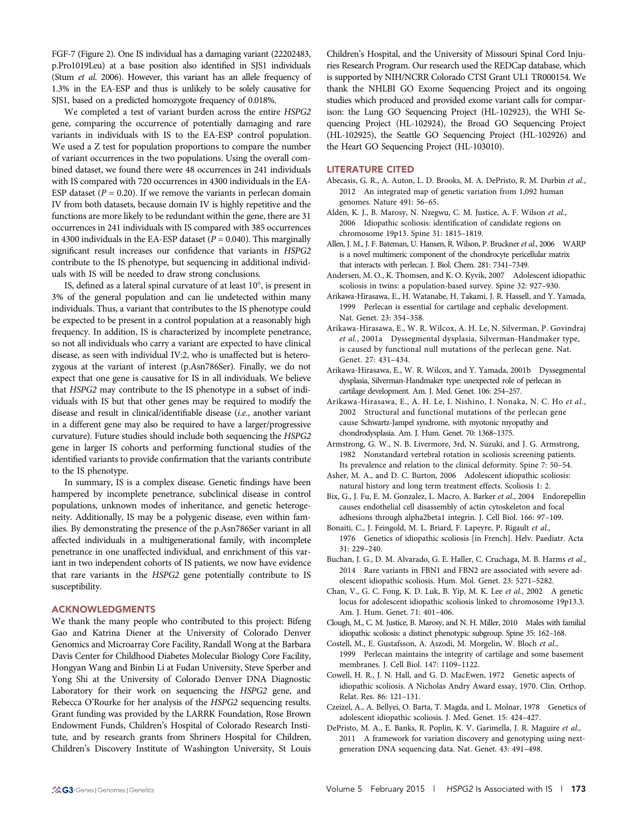FGF-7 (Figure 2). One IS individual has a damaging variant (22202483, p.Pro1019Leu) at a base position also identified in SJS1 individuals (Stum et al. 2006). However, this variant has an allele frequency of 1.3% in the EA-ESP and thus is unlikely to be solely causative for SJS1, based on a predicted homozygote frequency of 0.018%.

We completed a test of variant burden across the entire HSPG2 gene, comparing the occurrence of potentially damaging and rare variants in individuals with IS to the EA-ESP control population. We used a Z test for population proportions to compare the number of variant occurrences in the two populations. Using the overall combined dataset, we found there were 48 occurrences in 241 individuals with IS compared with 720 occurrences in 4300 individuals in the EA-ESP dataset ( $P = 0.20$ ). If we remove the variants in perlecan domain IV from both datasets, because domain IV is highly repetitive and the functions are more likely to be redundant within the gene, there are 31 occurrences in 241 individuals with IS compared with 385 occurrences in 4300 individuals in the EA-ESP dataset ( $P = 0.040$ ). This marginally significant result increases our confidence that variants in HSPG2 contribute to the IS phenotype, but sequencing in additional individuals with IS will be needed to draw strong conclusions.

IS, defined as a lateral spinal curvature of at least  $10^{\circ}$ , is present in 3% of the general population and can lie undetected within many individuals. Thus, a variant that contributes to the IS phenotype could be expected to be present in a control population at a reasonably high frequency. In addition, IS is characterized by incomplete penetrance, so not all individuals who carry a variant are expected to have clinical disease, as seen with individual IV:2, who is unaffected but is heterozygous at the variant of interest (p.Asn786Ser). Finally, we do not expect that one gene is causative for IS in all individuals. We believe that HSPG2 may contribute to the IS phenotype in a subset of individuals with IS but that other genes may be required to modify the disease and result in clinical/identifiable disease (i.e., another variant in a different gene may also be required to have a larger/progressive curvature). Future studies should include both sequencing the HSPG2 gene in larger IS cohorts and performing functional studies of the identified variants to provide confirmation that the variants contribute to the IS phenotype.

In summary, IS is a complex disease. Genetic findings have been hampered by incomplete penetrance, subclinical disease in control populations, unknown modes of inheritance, and genetic heterogeneity. Additionally, IS may be a polygenic disease, even within families. By demonstrating the presence of the p.Asn786Ser variant in all affected individuals in a multigenerational family, with incomplete penetrance in one unaffected individual, and enrichment of this variant in two independent cohorts of IS patients, we now have evidence that rare variants in the HSPG2 gene potentially contribute to IS susceptibility.

#### ACKNOWLEDGMENTS

We thank the many people who contributed to this project: Bifeng Gao and Katrina Diener at the University of Colorado Denver Genomics and Microarray Core Facility, Randall Wong at the Barbara Davis Center for Childhood Diabetes Molecular Biology Core Facility, Hongyan Wang and Binbin Li at Fudan University, Steve Sperber and Yong Shi at the University of Colorado Denver DNA Diagnostic Laboratory for their work on sequencing the HSPG2 gene, and Rebecca O'Rourke for her analysis of the HSPG2 sequencing results. Grant funding was provided by the LARRK Foundation, Rose Brown Endowment Funds, Children's Hospital of Colorado Research Institute, and by research grants from Shriners Hospital for Children, Children's Discovery Institute of Washington University, St Louis

Children's Hospital, and the University of Missouri Spinal Cord Injuries Research Program. Our research used the REDCap database, which is supported by NIH/NCRR Colorado CTSI Grant UL1 TR000154. We thank the NHLBI GO Exome Sequencing Project and its ongoing studies which produced and provided exome variant calls for comparison: the Lung GO Sequencing Project (HL-102923), the WHI Sequencing Project (HL-102924), the Broad GO Sequencing Project (HL-102925), the Seattle GO Sequencing Project (HL-102926) and the Heart GO Sequencing Project (HL-103010).

#### LITERATURE CITED

- Abecasis, G. R., A. Auton, L. D. Brooks, M. A. DePristo, R. M. Durbin et al., 2012 An integrated map of genetic variation from 1,092 human genomes. Nature 491: 56–65.
- Alden, K. J., B. Marosy, N. Nzegwu, C. M. Justice, A. F. Wilson et al., 2006 Idiopathic scoliosis: identification of candidate regions on chromosome 19p13. Spine 31: 1815–1819.
- Allen, J. M., J. F. Bateman, U. Hansen, R. Wilson, P. Bruckner et al., 2006 WARP is a novel multimeric component of the chondrocyte pericellular matrix that interacts with perlecan. J. Biol. Chem. 281: 7341–7349.
- Andersen, M. O., K. Thomsen, and K. O. Kyvik, 2007 Adolescent idiopathic scoliosis in twins: a population-based survey. Spine 32: 927–930.
- Arikawa-Hirasawa, E., H. Watanabe, H. Takami, J. R. Hassell, and Y. Yamada, 1999 Perlecan is essential for cartilage and cephalic development. Nat. Genet. 23: 354–358.
- Arikawa-Hirasawa, E., W. R. Wilcox, A. H. Le, N. Silverman, P. Govindraj et al., 2001a Dyssegmental dysplasia, Silverman-Handmaker type, is caused by functional null mutations of the perlecan gene. Nat. Genet. 27: 431–434.
- Arikawa-Hirasawa, E., W. R. Wilcox, and Y. Yamada, 2001b Dyssegmental dysplasia, Silverman-Handmaker type: unexpected role of perlecan in cartilage development. Am. J. Med. Genet. 106: 254–257.
- Arikawa-Hirasawa, E., A. H. Le, I. Nishino, I. Nonaka, N. C. Ho et al., 2002 Structural and functional mutations of the perlecan gene cause Schwartz-Jampel syndrome, with myotonic myopathy and chondrodysplasia. Am. J. Hum. Genet. 70: 1368–1375.
- Armstrong, G. W., N. B. Livermore, 3rd, N. Suzuki, and J. G. Armstrong, 1982 Nonstandard vertebral rotation in scoliosis screening patients. Its prevalence and relation to the clinical deformity. Spine 7: 50–54.
- Asher, M. A., and D. C. Burton, 2006 Adolescent idiopathic scoliosis: natural history and long term treatment effects. Scoliosis 1: 2.
- Bix, G., J. Fu, E. M. Gonzalez, L. Macro, A. Barker et al., 2004 Endorepellin causes endothelial cell disassembly of actin cytoskeleton and focal adhesions through alpha2beta1 integrin. J. Cell Biol. 166: 97–109.
- Bonaiti, C., J. Feingold, M. L. Briard, F. Lapeyre, P. Rigault et al., 1976 Genetics of idiopathic scoliosis [in French]. Helv. Paediatr. Acta 31: 229–240.
- Buchan, J. G., D. M. Alvarado, G. E. Haller, C. Cruchaga, M. B. Harms et al., 2014 Rare variants in FBN1 and FBN2 are associated with severe adolescent idiopathic scoliosis. Hum. Mol. Genet. 23: 5271–5282.
- Chan, V., G. C. Fong, K. D. Luk, B. Yip, M. K. Lee et al., 2002 A genetic locus for adolescent idiopathic scoliosis linked to chromosome 19p13.3. Am. J. Hum. Genet. 71: 401–406.
- Clough, M., C. M. Justice, B. Marosy, and N. H. Miller, 2010 Males with familial idiopathic scoliosis: a distinct phenotypic subgroup. Spine 35: 162–168.
- Costell, M., E. Gustafsson, A. Aszodi, M. Morgelin, W. Bloch et al., 1999 Perlecan maintains the integrity of cartilage and some basement membranes. J. Cell Biol. 147: 1109–1122.
- Cowell, H. R., J. N. Hall, and G. D. MacEwen, 1972 Genetic aspects of idiopathic scoliosis. A Nicholas Andry Award essay, 1970. Clin. Orthop. Relat. Res. 86: 121–131.
- Czeizel, A., A. Bellyei, O. Barta, T. Magda, and L. Molnar, 1978 Genetics of adolescent idiopathic scoliosis. J. Med. Genet. 15: 424–427.
- DePristo, M. A., E. Banks, R. Poplin, K. V. Garimella, J. R. Maguire et al., 2011 A framework for variation discovery and genotyping using nextgeneration DNA sequencing data. Nat. Genet. 43: 491–498.